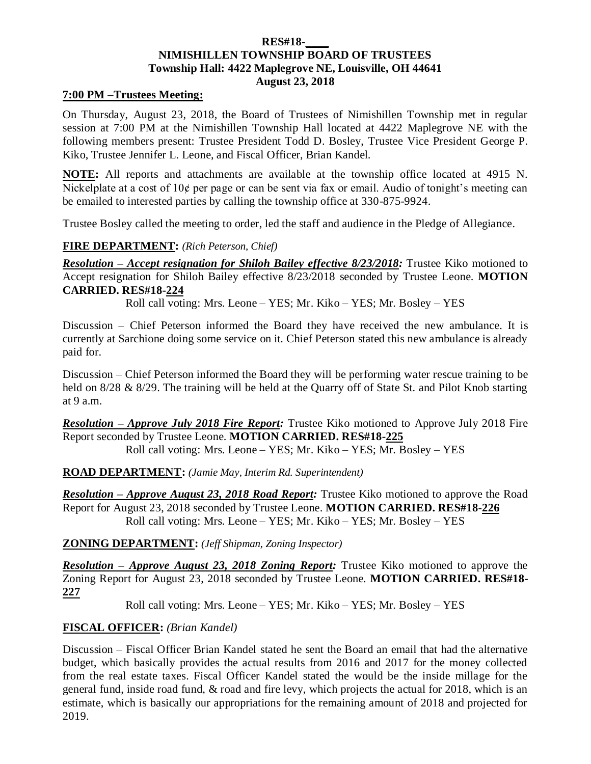### **RES#18-\_\_\_\_ NIMISHILLEN TOWNSHIP BOARD OF TRUSTEES Township Hall: 4422 Maplegrove NE, Louisville, OH 44641 August 23, 2018**

#### **7:00 PM –Trustees Meeting:**

On Thursday, August 23, 2018, the Board of Trustees of Nimishillen Township met in regular session at 7:00 PM at the Nimishillen Township Hall located at 4422 Maplegrove NE with the following members present: Trustee President Todd D. Bosley, Trustee Vice President George P. Kiko, Trustee Jennifer L. Leone, and Fiscal Officer, Brian Kandel.

**NOTE:** All reports and attachments are available at the township office located at 4915 N. Nickelplate at a cost of 10¢ per page or can be sent via fax or email. Audio of tonight's meeting can be emailed to interested parties by calling the township office at 330-875-9924.

Trustee Bosley called the meeting to order, led the staff and audience in the Pledge of Allegiance.

### **FIRE DEPARTMENT:** *(Rich Peterson, Chief)*

*Resolution – Accept resignation for Shiloh Bailey effective 8/23/2018:* Trustee Kiko motioned to Accept resignation for Shiloh Bailey effective 8/23/2018 seconded by Trustee Leone. **MOTION CARRIED. RES#18-224**

Roll call voting: Mrs. Leone – YES; Mr. Kiko – YES; Mr. Bosley – YES

Discussion – Chief Peterson informed the Board they have received the new ambulance. It is currently at Sarchione doing some service on it. Chief Peterson stated this new ambulance is already paid for.

Discussion – Chief Peterson informed the Board they will be performing water rescue training to be held on  $8/28 \& 8/29$ . The training will be held at the Quarry off of State St. and Pilot Knob starting at  $9a.m.$ 

*Resolution – Approve July 2018 Fire Report:* Trustee Kiko motioned to Approve July 2018 Fire Report seconded by Trustee Leone. **MOTION CARRIED. RES#18-225** Roll call voting: Mrs. Leone – YES; Mr. Kiko – YES; Mr. Bosley – YES

**ROAD DEPARTMENT:** *(Jamie May, Interim Rd. Superintendent)*

*Resolution – Approve August 23, 2018 Road Report:* Trustee Kiko motioned to approve the Road Report for August 23, 2018 seconded by Trustee Leone. **MOTION CARRIED. RES#18-226** Roll call voting: Mrs. Leone – YES; Mr. Kiko – YES; Mr. Bosley – YES

### **ZONING DEPARTMENT:** *(Jeff Shipman, Zoning Inspector)*

*Resolution – Approve August 23, 2018 Zoning Report:* Trustee Kiko motioned to approve the Zoning Report for August 23, 2018 seconded by Trustee Leone. **MOTION CARRIED. RES#18- 227**

Roll call voting: Mrs. Leone – YES; Mr. Kiko – YES; Mr. Bosley – YES

### **FISCAL OFFICER:** *(Brian Kandel)*

Discussion – Fiscal Officer Brian Kandel stated he sent the Board an email that had the alternative budget, which basically provides the actual results from 2016 and 2017 for the money collected from the real estate taxes. Fiscal Officer Kandel stated the would be the inside millage for the general fund, inside road fund, & road and fire levy, which projects the actual for 2018, which is an estimate, which is basically our appropriations for the remaining amount of 2018 and projected for 2019.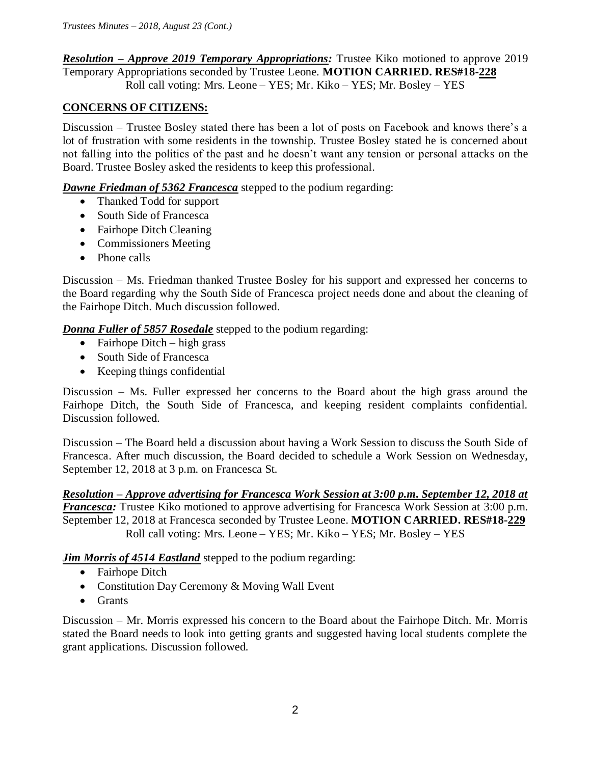## *Resolution – Approve 2019 Temporary Appropriations:* Trustee Kiko motioned to approve 2019 Temporary Appropriations seconded by Trustee Leone. **MOTION CARRIED. RES#18-228** Roll call voting: Mrs. Leone – YES; Mr. Kiko – YES; Mr. Bosley – YES

# **CONCERNS OF CITIZENS:**

Discussion – Trustee Bosley stated there has been a lot of posts on Facebook and knows there's a lot of frustration with some residents in the township. Trustee Bosley stated he is concerned about not falling into the politics of the past and he doesn't want any tension or personal attacks on the Board. Trustee Bosley asked the residents to keep this professional.

## *Dawne Friedman of 5362 Francesca* stepped to the podium regarding:

- Thanked Todd for support
- South Side of Francesca
- Fairhope Ditch Cleaning
- Commissioners Meeting
- Phone calls

Discussion – Ms. Friedman thanked Trustee Bosley for his support and expressed her concerns to the Board regarding why the South Side of Francesca project needs done and about the cleaning of the Fairhope Ditch. Much discussion followed.

*Donna Fuller of 5857 Rosedale* stepped to the podium regarding:

- $\bullet$  Fairhope Ditch high grass
- South Side of Francesca
- Keeping things confidential

Discussion – Ms. Fuller expressed her concerns to the Board about the high grass around the Fairhope Ditch, the South Side of Francesca, and keeping resident complaints confidential. Discussion followed.

Discussion – The Board held a discussion about having a Work Session to discuss the South Side of Francesca. After much discussion, the Board decided to schedule a Work Session on Wednesday, September 12, 2018 at 3 p.m. on Francesca St.

*Resolution – Approve advertising for Francesca Work Session at 3:00 p.m. September 12, 2018 at Francesca:* Trustee Kiko motioned to approve advertising for Francesca Work Session at 3:00 p.m. September 12, 2018 at Francesca seconded by Trustee Leone. **MOTION CARRIED. RES#18-229** Roll call voting: Mrs. Leone – YES; Mr. Kiko – YES; Mr. Bosley – YES

*Jim Morris of 4514 Eastland* stepped to the podium regarding:

- Fairhope Ditch
- Constitution Day Ceremony & Moving Wall Event
- Grants

Discussion – Mr. Morris expressed his concern to the Board about the Fairhope Ditch. Mr. Morris stated the Board needs to look into getting grants and suggested having local students complete the grant applications. Discussion followed.